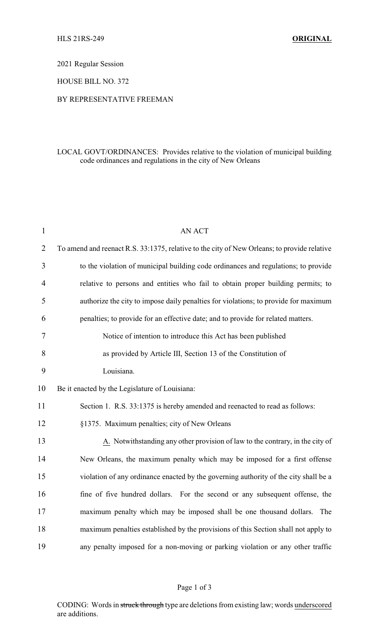2021 Regular Session

HOUSE BILL NO. 372

## BY REPRESENTATIVE FREEMAN

## LOCAL GOVT/ORDINANCES: Provides relative to the violation of municipal building code ordinances and regulations in the city of New Orleans

| $\mathbf{1}$   | <b>AN ACT</b>                                                                               |  |  |
|----------------|---------------------------------------------------------------------------------------------|--|--|
| $\overline{2}$ | To amend and reenact R.S. 33:1375, relative to the city of New Orleans; to provide relative |  |  |
| 3              | to the violation of municipal building code ordinances and regulations; to provide          |  |  |
| 4              | relative to persons and entities who fail to obtain proper building permits; to             |  |  |
| 5              | authorize the city to impose daily penalties for violations; to provide for maximum         |  |  |
| 6              | penalties; to provide for an effective date; and to provide for related matters.            |  |  |
| 7              | Notice of intention to introduce this Act has been published                                |  |  |
| 8              | as provided by Article III, Section 13 of the Constitution of                               |  |  |
| 9              | Louisiana.                                                                                  |  |  |
| 10             | Be it enacted by the Legislature of Louisiana:                                              |  |  |
| 11             | Section 1. R.S. 33:1375 is hereby amended and reenacted to read as follows:                 |  |  |
| 12             | §1375. Maximum penalties; city of New Orleans                                               |  |  |
| 13             | A. Notwithstanding any other provision of law to the contrary, in the city of               |  |  |
| 14             | New Orleans, the maximum penalty which may be imposed for a first offense                   |  |  |
| 15             | violation of any ordinance enacted by the governing authority of the city shall be a        |  |  |
| 16             | fine of five hundred dollars. For the second or any subsequent offense, the                 |  |  |
| 17             | maximum penalty which may be imposed shall be one thousand dollars. The                     |  |  |
| 18             | maximum penalties established by the provisions of this Section shall not apply to          |  |  |
| 19             | any penalty imposed for a non-moving or parking violation or any other traffic              |  |  |

## Page 1 of 3

CODING: Words in struck through type are deletions from existing law; words underscored are additions.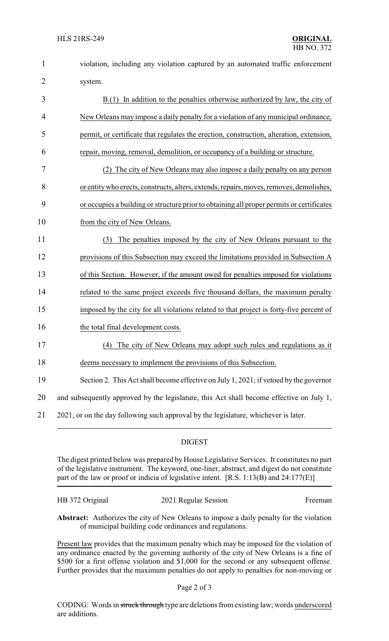| $\mathbf{1}$ | violation, including any violation captured by an automated traffic enforcement           |
|--------------|-------------------------------------------------------------------------------------------|
| 2            | system.                                                                                   |
| 3            | $B(1)$ In addition to the penalties otherwise authorized by law, the city of              |
| 4            | New Orleans may impose a daily penalty for a violation of any municipal ordinance,        |
| 5            | permit, or certificate that regulates the erection, construction, alteration, extension,  |
| 6            | repair, moving, removal, demolition, or occupancy of a building or structure.             |
| 7            | (2) The city of New Orleans may also impose a daily penalty on any person                 |
| 8            | or entity who erects, constructs, alters, extends, repairs, moves, removes, demolishes,   |
| 9            | or occupies a building or structure prior to obtaining all proper permits or certificates |
| 10           | from the city of New Orleans.                                                             |
| 11           | The penalties imposed by the city of New Orleans pursuant to the<br>(3)                   |
| 12           | provisions of this Subsection may exceed the limitations provided in Subsection A         |
| 13           | of this Section. However, if the amount owed for penalties imposed for violations         |
| 14           | related to the same project exceeds five thousand dollars, the maximum penalty            |
| 15           | imposed by the city for all violations related to that project is forty-five percent of   |
| 16           | the total final development costs.                                                        |
| 17           | (4) The city of New Orleans may adopt such rules and regulations as it                    |
| 18           | deems necessary to implement the provisions of this Subsection.                           |
| 19           | Section 2. This Act shall become effective on July 1, 2021; if vetoed by the governor     |
| 20           | and subsequently approved by the legislature, this Act shall become effective on July 1,  |
| 21           | 2021, or on the day following such approval by the legislature, whichever is later.       |
|              |                                                                                           |

## DIGEST

The digest printed below was prepared by House Legislative Services. It constitutes no part of the legislative instrument. The keyword, one-liner, abstract, and digest do not constitute part of the law or proof or indicia of legislative intent. [R.S. 1:13(B) and 24:177(E)]

| HB 372 Original | 2021 Regular Session | Freeman |
|-----------------|----------------------|---------|
|                 |                      |         |

**Abstract:** Authorizes the city of New Orleans to impose a daily penalty for the violation of municipal building code ordinances and regulations.

Present law provides that the maximum penalty which may be imposed for the violation of any ordinance enacted by the governing authority of the city of New Orleans is a fine of \$500 for a first offense violation and \$1,000 for the second or any subsequent offense. Further provides that the maximum penalties do not apply to penalties for non-moving or